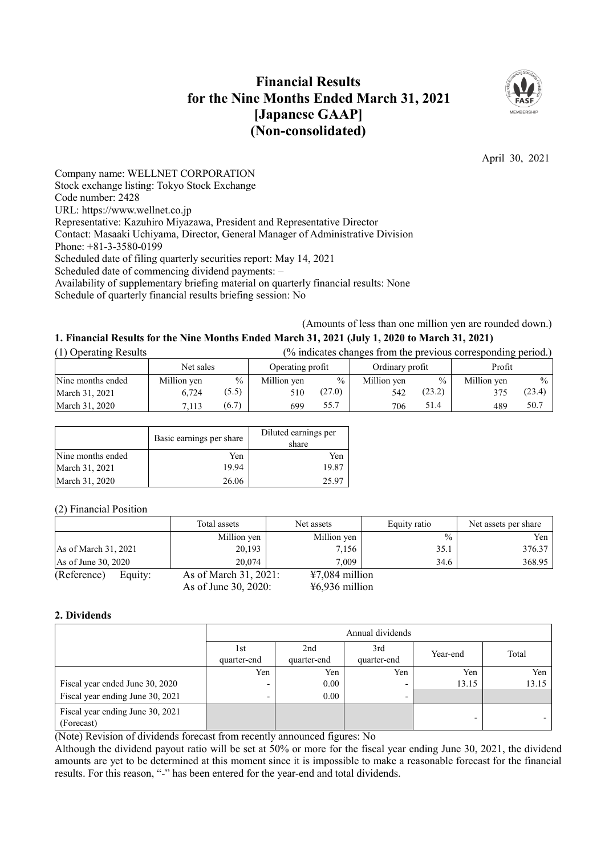# **Financial Results for the Nine Months Ended March 31, 2021 [Japanese GAAP] (Non-consolidated)**



April 30, 2021

Company name: WELLNET CORPORATION Stock exchange listing: Tokyo Stock Exchange Code number: 2428 URL: https://www.wellnet.co.jp Representative: Kazuhiro Miyazawa, President and Representative Director Contact: Masaaki Uchiyama, Director, General Manager of Administrative Division Phone: +81-3-3580-0199 Scheduled date of filing quarterly securities report: May 14, 2021 Scheduled date of commencing dividend payments: – Availability of supplementary briefing material on quarterly financial results: None Schedule of quarterly financial results briefing session: No

(Amounts of less than one million yen are rounded down.)

## **1. Financial Results for the Nine Months Ended March 31, 2021 (July 1, 2020 to March 31, 2021)**

| (1) Operating Results |             |       |                  |               |                 |               | (% indicates changes from the previous corresponding period.) |               |
|-----------------------|-------------|-------|------------------|---------------|-----------------|---------------|---------------------------------------------------------------|---------------|
|                       | Net sales   |       | Operating profit |               | Ordinary profit |               | Profit                                                        |               |
| Nine months ended     | Million yen | $\%$  | Million yen      | $\frac{0}{0}$ | Million yen     | $\frac{0}{0}$ | Million yen                                                   | $\frac{0}{0}$ |
| March 31, 2021        | 6.724       | (5.5) | 510              | (27.0)        | 542             | (23.2)        | 375                                                           | (23.4)        |
| March 31, 2020        | 7.113       | (6.7) | 699              | 55.7          | 706             | 51.4          | 489                                                           | 50.7          |

|                   | Basic earnings per share | Diluted earnings per<br>share |
|-------------------|--------------------------|-------------------------------|
| Nine months ended | Yen                      | Yen                           |
| March 31, 2021    | 19.94                    | 19.87                         |
| March 31, 2020    | 26.06                    | 25.97                         |

(2) Financial Position

|                       |         | Total assets          | Net assets       | Equity ratio  | Net assets per share |
|-----------------------|---------|-----------------------|------------------|---------------|----------------------|
|                       |         | Million yen           | Million yen      | $\frac{0}{0}$ | Yen.                 |
| As of March 31, 2021  |         | 20,193                | 7,156            | 35.1          | 376.37               |
| As of June $30, 2020$ |         | 20,074                | 7.009            | 34.6          | 368.95               |
| (Reference)           | Equity: | As of March 31, 2021: | $47,084$ million |               |                      |
|                       |         | As of June 30, 2020:  | $46,936$ million |               |                      |

### **2. Dividends**

|                                                | Annual dividends    |                    |                    |          |       |
|------------------------------------------------|---------------------|--------------------|--------------------|----------|-------|
|                                                | l st<br>quarter-end | 2nd<br>quarter-end | 3rd<br>quarter-end | Year-end | Total |
|                                                | Yen                 | Yen                | Yen                | Yen      | Yen   |
| Fiscal year ended June 30, 2020                | -                   | $0.00\,$           |                    | 13.15    | 13.15 |
| Fiscal year ending June 30, 2021               | ٠                   | 0.00               |                    |          |       |
| Fiscal year ending June 30, 2021<br>(Forecast) |                     |                    |                    | -        |       |

(Note) Revision of dividends forecast from recently announced figures: No

Although the dividend payout ratio will be set at 50% or more for the fiscal year ending June 30, 2021, the dividend amounts are yet to be determined at this moment since it is impossible to make a reasonable forecast for the financial results. For this reason, "-" has been entered for the year-end and total dividends.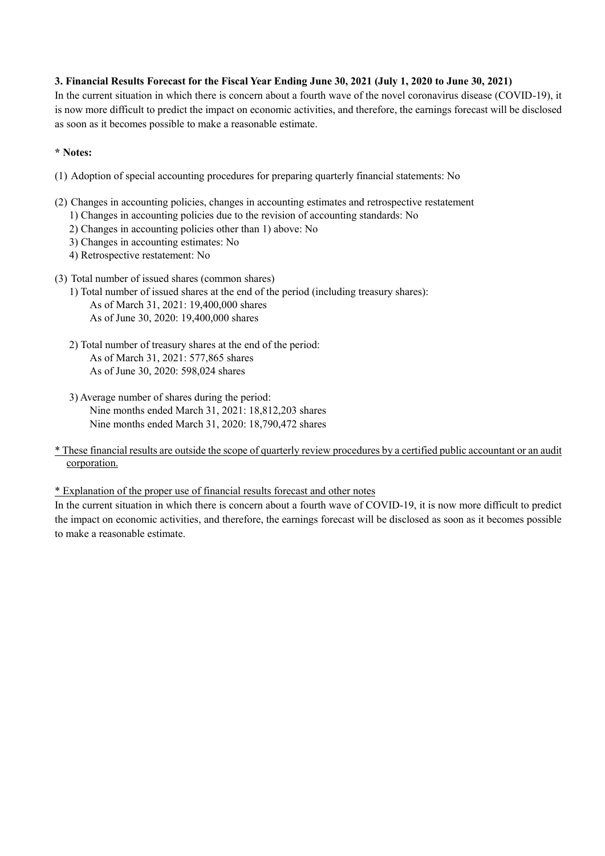## **3. Financial Results Forecast for the Fiscal Year Ending June 30, 2021 (July 1, 2020 to June 30, 2021)**

In the current situation in which there is concern about a fourth wave of the novel coronavirus disease (COVID-19), it is now more difficult to predict the impact on economic activities, and therefore, the earnings forecast will be disclosed as soon as it becomes possible to make a reasonable estimate.

## **\* Notes:**

- (1) Adoption of special accounting procedures for preparing quarterly financial statements: No
- (2) Changes in accounting policies, changes in accounting estimates and retrospective restatement
	- 1) Changes in accounting policies due to the revision of accounting standards: No
	- 2) Changes in accounting policies other than 1) above: No
	- 3) Changes in accounting estimates: No
	- 4) Retrospective restatement: No
- (3) Total number of issued shares (common shares)
	- 1) Total number of issued shares at the end of the period (including treasury shares): As of March 31, 2021: 19,400,000 shares As of June 30, 2020: 19,400,000 shares
	- 2) Total number of treasury shares at the end of the period: As of March 31, 2021: 577,865 shares As of June 30, 2020: 598,024 shares
	- 3) Average number of shares during the period: Nine months ended March 31, 2021: 18,812,203 shares Nine months ended March 31, 2020: 18,790,472 shares

### \* These financial results are outside the scope of quarterly review procedures by a certified public accountant or an audit corporation.

\* Explanation of the proper use of financial results forecast and other notes

In the current situation in which there is concern about a fourth wave of COVID-19, it is now more difficult to predict the impact on economic activities, and therefore, the earnings forecast will be disclosed as soon as it becomes possible to make a reasonable estimate.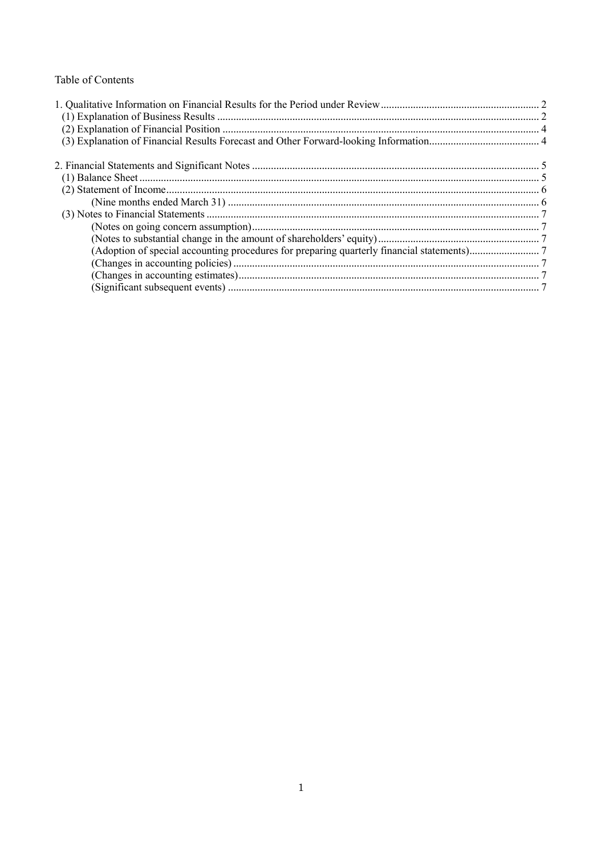## Table of Contents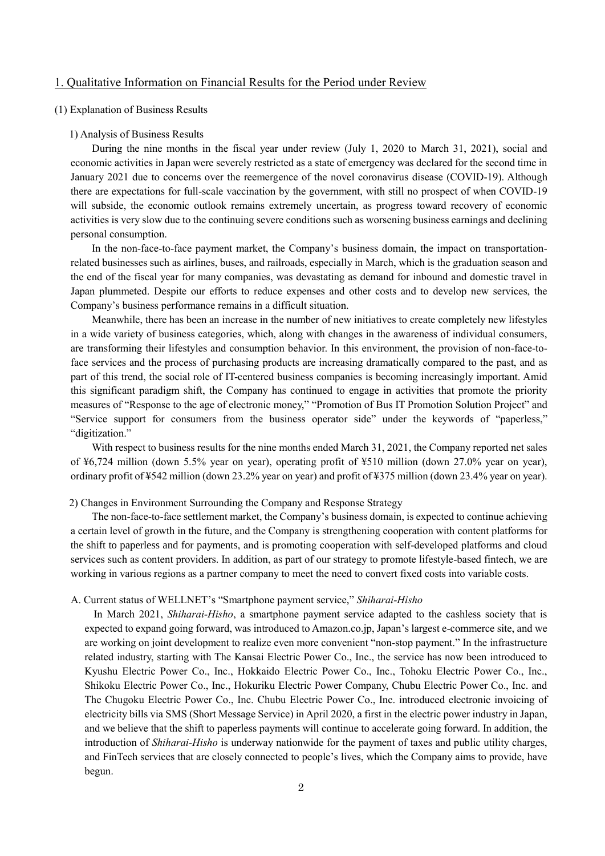### <span id="page-3-0"></span>1. Qualitative Information on Financial Results for the Period under Review

#### <span id="page-3-1"></span>(1) Explanation of Business Results

#### 1) Analysis of Business Results

During the nine months in the fiscal year under review (July 1, 2020 to March 31, 2021), social and economic activities in Japan were severely restricted as a state of emergency was declared for the second time in January 2021 due to concerns over the reemergence of the novel coronavirus disease (COVID-19). Although there are expectations for full-scale vaccination by the government, with still no prospect of when COVID-19 will subside, the economic outlook remains extremely uncertain, as progress toward recovery of economic activities is very slow due to the continuing severe conditions such as worsening business earnings and declining personal consumption.

In the non-face-to-face payment market, the Company's business domain, the impact on transportationrelated businesses such as airlines, buses, and railroads, especially in March, which is the graduation season and the end of the fiscal year for many companies, was devastating as demand for inbound and domestic travel in Japan plummeted. Despite our efforts to reduce expenses and other costs and to develop new services, the Company's business performance remains in a difficult situation.

Meanwhile, there has been an increase in the number of new initiatives to create completely new lifestyles in a wide variety of business categories, which, along with changes in the awareness of individual consumers, are transforming their lifestyles and consumption behavior. In this environment, the provision of non-face-toface services and the process of purchasing products are increasing dramatically compared to the past, and as part of this trend, the social role of IT-centered business companies is becoming increasingly important. Amid this significant paradigm shift, the Company has continued to engage in activities that promote the priority measures of "Response to the age of electronic money," "Promotion of Bus IT Promotion Solution Project" and "Service support for consumers from the business operator side" under the keywords of "paperless," "digitization."

With respect to business results for the nine months ended March 31, 2021, the Company reported net sales of ¥6,724 million (down 5.5% year on year), operating profit of ¥510 million (down 27.0% year on year), ordinary profit of ¥542 million (down 23.2% year on year) and profit of ¥375 million (down 23.4% year on year).

#### 2) Changes in Environment Surrounding the Company and Response Strategy

The non-face-to-face settlement market, the Company's business domain, is expected to continue achieving a certain level of growth in the future, and the Company is strengthening cooperation with content platforms for the shift to paperless and for payments, and is promoting cooperation with self-developed platforms and cloud services such as content providers. In addition, as part of our strategy to promote lifestyle-based fintech, we are working in various regions as a partner company to meet the need to convert fixed costs into variable costs.

#### A. Current status of WELLNET's "Smartphone payment service," *Shiharai-Hisho*

In March 2021, *Shiharai-Hisho*, a smartphone payment service adapted to the cashless society that is expected to expand going forward, was introduced to Amazon.co.jp, Japan's largest e-commerce site, and we are working on joint development to realize even more convenient "non-stop payment." In the infrastructure related industry, starting with The Kansai Electric Power Co., Inc., the service has now been introduced to Kyushu Electric Power Co., Inc., Hokkaido Electric Power Co., Inc., Tohoku Electric Power Co., Inc., Shikoku Electric Power Co., Inc., Hokuriku Electric Power Company, Chubu Electric Power Co., Inc. and The Chugoku Electric Power Co., Inc. Chubu Electric Power Co., Inc. introduced electronic invoicing of electricity bills via SMS (Short Message Service) in April 2020, a first in the electric power industry in Japan, and we believe that the shift to paperless payments will continue to accelerate going forward. In addition, the introduction of *Shiharai-Hisho* is underway nationwide for the payment of taxes and public utility charges, and FinTech services that are closely connected to people's lives, which the Company aims to provide, have begun.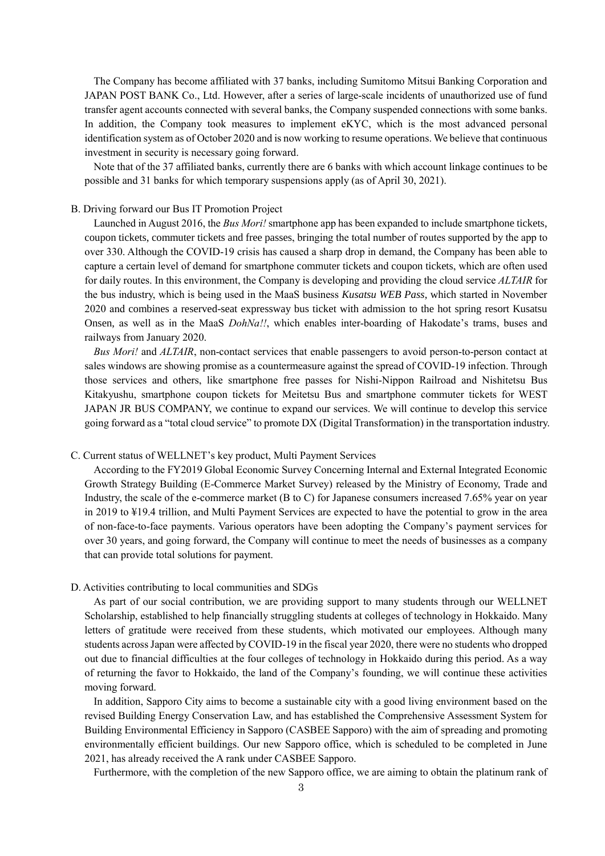The Company has become affiliated with 37 banks, including Sumitomo Mitsui Banking Corporation and JAPAN POST BANK Co., Ltd. However, after a series of large-scale incidents of unauthorized use of fund transfer agent accounts connected with several banks, the Company suspended connections with some banks. In addition, the Company took measures to implement eKYC, which is the most advanced personal identification system as of October 2020 and is now working to resume operations. We believe that continuous investment in security is necessary going forward.

Note that of the 37 affiliated banks, currently there are 6 banks with which account linkage continues to be possible and 31 banks for which temporary suspensions apply (as of April 30, 2021).

#### B. Driving forward our Bus IT Promotion Project

Launched in August 2016, the *Bus Mori!* smartphone app has been expanded to include smartphone tickets, coupon tickets, commuter tickets and free passes, bringing the total number of routes supported by the app to over 330. Although the COVID-19 crisis has caused a sharp drop in demand, the Company has been able to capture a certain level of demand for smartphone commuter tickets and coupon tickets, which are often used for daily routes. In this environment, the Company is developing and providing the cloud service *ALTAIR* for the bus industry, which is being used in the MaaS business *Kusatsu WEB Pass*, which started in November 2020 and combines a reserved-seat expressway bus ticket with admission to the hot spring resort Kusatsu Onsen, as well as in the MaaS *DohNa!!*, which enables inter-boarding of Hakodate's trams, buses and railways from January 2020.

*Bus Mori!* and *ALTAIR*, non-contact services that enable passengers to avoid person-to-person contact at sales windows are showing promise as a countermeasure against the spread of COVID-19 infection. Through those services and others, like smartphone free passes for Nishi-Nippon Railroad and Nishitetsu Bus Kitakyushu, smartphone coupon tickets for Meitetsu Bus and smartphone commuter tickets for WEST JAPAN JR BUS COMPANY, we continue to expand our services. We will continue to develop this service going forward as a "total cloud service" to promote DX (Digital Transformation) in the transportation industry.

#### C. Current status of WELLNET's key product, Multi Payment Services

According to the FY2019 Global Economic Survey Concerning Internal and External Integrated Economic Growth Strategy Building (E-Commerce Market Survey) released by the Ministry of Economy, Trade and Industry, the scale of the e-commerce market (B to C) for Japanese consumers increased 7.65% year on year in 2019 to ¥19.4 trillion, and Multi Payment Services are expected to have the potential to grow in the area of non-face-to-face payments. Various operators have been adopting the Company's payment services for over 30 years, and going forward, the Company will continue to meet the needs of businesses as a company that can provide total solutions for payment.

#### D. Activities contributing to local communities and SDGs

As part of our social contribution, we are providing support to many students through our WELLNET Scholarship, established to help financially struggling students at colleges of technology in Hokkaido. Many letters of gratitude were received from these students, which motivated our employees. Although many students across Japan were affected by COVID-19 in the fiscal year 2020, there were no students who dropped out due to financial difficulties at the four colleges of technology in Hokkaido during this period. As a way of returning the favor to Hokkaido, the land of the Company's founding, we will continue these activities moving forward.

In addition, Sapporo City aims to become a sustainable city with a good living environment based on the revised Building Energy Conservation Law, and has established the Comprehensive Assessment System for Building Environmental Efficiency in Sapporo (CASBEE Sapporo) with the aim of spreading and promoting environmentally efficient buildings. Our new Sapporo office, which is scheduled to be completed in June 2021, has already received the A rank under CASBEE Sapporo.

Furthermore, with the completion of the new Sapporo office, we are aiming to obtain the platinum rank of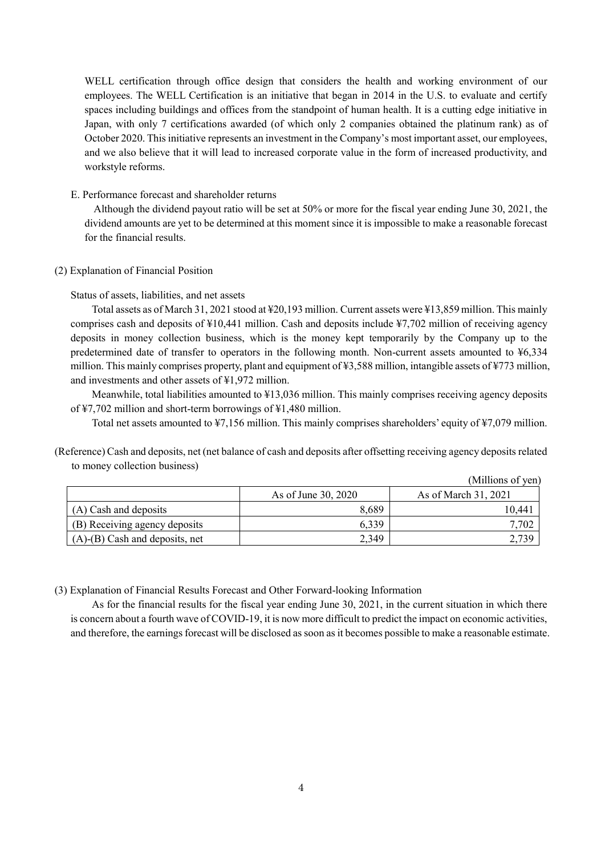WELL certification through office design that considers the health and working environment of our employees. The WELL Certification is an initiative that began in 2014 in the U.S. to evaluate and certify spaces including buildings and offices from the standpoint of human health. It is a cutting edge initiative in Japan, with only 7 certifications awarded (of which only 2 companies obtained the platinum rank) as of October 2020. This initiative represents an investment in the Company's most important asset, our employees, and we also believe that it will lead to increased corporate value in the form of increased productivity, and workstyle reforms.

E. Performance forecast and shareholder returns

Although the dividend payout ratio will be set at 50% or more for the fiscal year ending June 30, 2021, the dividend amounts are yet to be determined at this moment since it is impossible to make a reasonable forecast for the financial results.

<span id="page-5-0"></span>(2) Explanation of Financial Position

Status of assets, liabilities, and net assets

Total assets as of March 31, 2021 stood at ¥20,193 million. Current assets were ¥13,859 million. This mainly comprises cash and deposits of ¥10,441 million. Cash and deposits include ¥7,702 million of receiving agency deposits in money collection business, which is the money kept temporarily by the Company up to the predetermined date of transfer to operators in the following month. Non-current assets amounted to ¥6,334 million. This mainly comprises property, plant and equipment of ¥3,588 million, intangible assets of ¥773 million, and investments and other assets of ¥1,972 million.

Meanwhile, total liabilities amounted to ¥13,036 million. This mainly comprises receiving agency deposits of ¥7,702 million and short-term borrowings of ¥1,480 million.

Total net assets amounted to ¥7,156 million. This mainly comprises shareholders' equity of ¥7,079 million.

 $(2.6)$ 

(Reference) Cash and deposits, net (net balance of cash and deposits after offsetting receiving agency deposits related to money collection business)

|                                      |                     | (IVIIIIIONS OL VEN)  |
|--------------------------------------|---------------------|----------------------|
|                                      | As of June 30, 2020 | As of March 31, 2021 |
| (A) Cash and deposits                | 8,689               | 10.441               |
| (B) Receiving agency deposits        | 6,339               | 702                  |
| $(A)$ - $(B)$ Cash and deposits, net | 2,349               |                      |

<span id="page-5-1"></span>(3) Explanation of Financial Results Forecast and Other Forward-looking Information

As for the financial results for the fiscal year ending June 30, 2021, in the current situation in which there is concern about a fourth wave of COVID-19, it is now more difficult to predict the impact on economic activities, and therefore, the earnings forecast will be disclosed as soon as it becomes possible to make a reasonable estimate.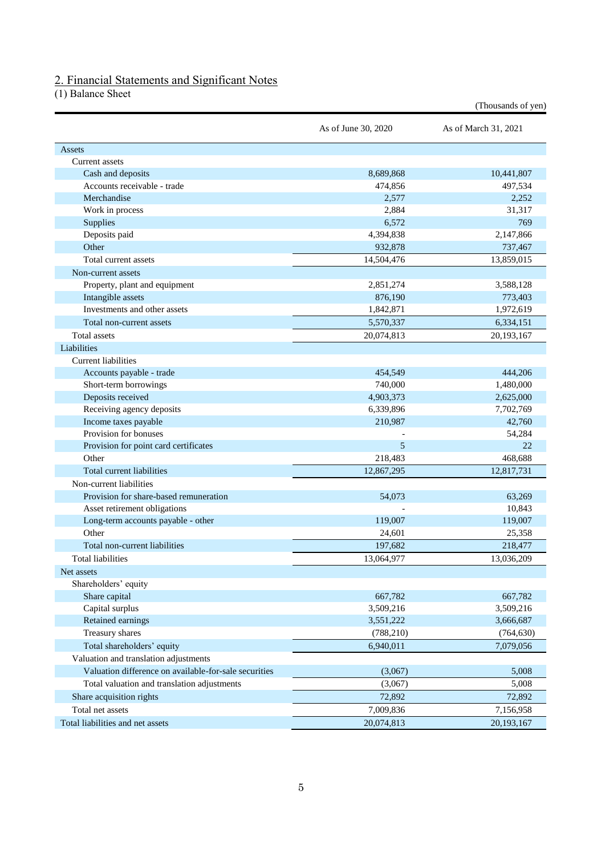### <span id="page-6-0"></span>2. Financial Statements and Significant Notes

<span id="page-6-1"></span>(1) Balance Sheet

|                                                       |                     | (Thousands of yen)   |
|-------------------------------------------------------|---------------------|----------------------|
|                                                       | As of June 30, 2020 | As of March 31, 2021 |
| Assets                                                |                     |                      |
| Current assets                                        |                     |                      |
| Cash and deposits                                     | 8,689,868           | 10,441,807           |
| Accounts receivable - trade                           | 474,856             | 497,534              |
| Merchandise                                           | 2,577               | 2,252                |
| Work in process                                       | 2,884               | 31,317               |
| Supplies                                              | 6,572               | 769                  |
| Deposits paid                                         | 4,394,838           | 2,147,866            |
| Other                                                 | 932,878             | 737,467              |
| Total current assets                                  | 14,504,476          | 13,859,015           |
| Non-current assets                                    |                     |                      |
| Property, plant and equipment                         | 2,851,274           | 3,588,128            |
| Intangible assets                                     | 876,190             | 773,403              |
| Investments and other assets                          | 1,842,871           | 1,972,619            |
| Total non-current assets                              | 5,570,337           | 6,334,151            |
| <b>Total</b> assets                                   | 20,074,813          | 20,193,167           |
| Liabilities                                           |                     |                      |
| <b>Current liabilities</b>                            |                     |                      |
| Accounts payable - trade                              | 454,549             | 444,206              |
| Short-term borrowings                                 | 740,000             | 1,480,000            |
| Deposits received                                     | 4,903,373           | 2,625,000            |
| Receiving agency deposits                             | 6,339,896           | 7,702,769            |
| Income taxes payable                                  | 210,987             | 42,760               |
| Provision for bonuses                                 |                     | 54,284               |
| Provision for point card certificates                 | 5                   | 22                   |
| Other                                                 | 218,483             | 468,688              |
| Total current liabilities                             | 12,867,295          | 12,817,731           |
| Non-current liabilities                               |                     |                      |
| Provision for share-based remuneration                | 54,073              | 63,269               |
| Asset retirement obligations                          |                     | 10,843               |
| Long-term accounts payable - other                    | 119,007             | 119,007              |
| Other                                                 | 24,601              | 25,358               |
| Total non-current liabilities                         | 197,682             | 218,477              |
| Total liabilities                                     | 13,064,977          | 13,036,209           |
| Net assets                                            |                     |                      |
| Shareholders' equity                                  |                     |                      |
| Share capital                                         | 667,782             | 667,782              |
| Capital surplus                                       | 3,509,216           | 3,509,216            |
| Retained earnings                                     | 3,551,222           | 3,666,687            |
| Treasury shares                                       | (788, 210)          | (764, 630)           |
| Total shareholders' equity                            | 6,940,011           | 7,079,056            |
| Valuation and translation adjustments                 |                     |                      |
| Valuation difference on available-for-sale securities |                     | 5,008                |
|                                                       | (3,067)             |                      |
| Total valuation and translation adjustments           | (3,067)             | 5,008                |
| Share acquisition rights                              | 72,892              | 72,892               |
| Total net assets                                      | 7,009,836           | 7,156,958            |
| Total liabilities and net assets                      | 20,074,813          | 20,193,167           |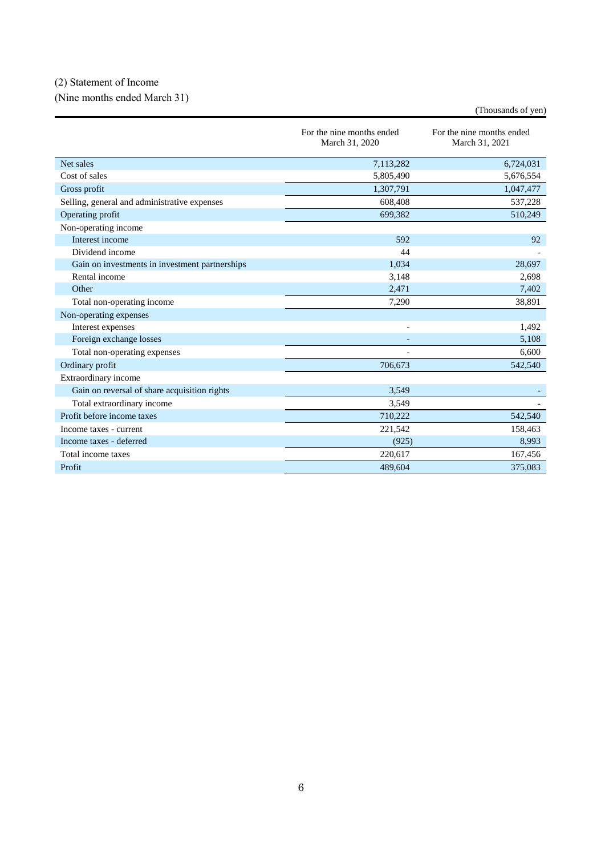# <span id="page-7-0"></span>(2) Statement of Income

<span id="page-7-1"></span>(Nine months ended March 31)

|                                                | For the nine months ended<br>March 31, 2020 | For the nine months ended<br>March 31, 2021 |
|------------------------------------------------|---------------------------------------------|---------------------------------------------|
| Net sales                                      | 7,113,282                                   | 6,724,031                                   |
| Cost of sales                                  | 5,805,490                                   | 5,676,554                                   |
| Gross profit                                   | 1,307,791                                   | 1,047,477                                   |
| Selling, general and administrative expenses   | 608,408                                     | 537,228                                     |
| Operating profit                               | 699,382                                     | 510,249                                     |
| Non-operating income                           |                                             |                                             |
| Interest income                                | 592                                         | 92                                          |
| Dividend income                                | 44                                          |                                             |
| Gain on investments in investment partnerships | 1,034                                       | 28,697                                      |
| Rental income                                  | 3,148                                       | 2,698                                       |
| Other                                          | 2,471                                       | 7,402                                       |
| Total non-operating income                     | 7,290                                       | 38,891                                      |
| Non-operating expenses                         |                                             |                                             |
| Interest expenses                              | $\overline{\phantom{a}}$                    | 1,492                                       |
| Foreign exchange losses                        |                                             | 5,108                                       |
| Total non-operating expenses                   |                                             | 6.600                                       |
| Ordinary profit                                | 706,673                                     | 542,540                                     |
| Extraordinary income                           |                                             |                                             |
| Gain on reversal of share acquisition rights   | 3,549                                       |                                             |
| Total extraordinary income                     | 3,549                                       |                                             |
| Profit before income taxes                     | 710,222                                     | 542,540                                     |
| Income taxes - current                         | 221,542                                     | 158,463                                     |
| Income taxes - deferred                        | (925)                                       | 8,993                                       |
| Total income taxes                             | 220,617                                     | 167,456                                     |
| Profit                                         | 489.604                                     | 375.083                                     |

(Thousands of yen)